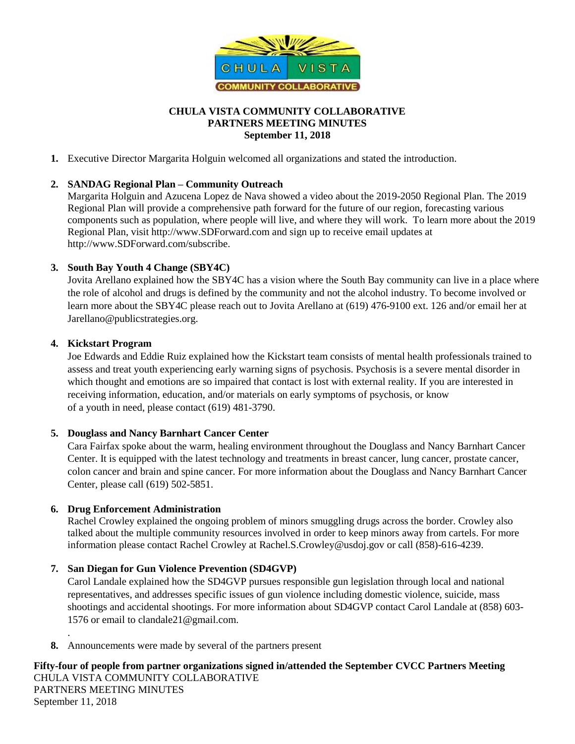

# **CHULA VISTA COMMUNITY COLLABORATIVE PARTNERS MEETING MINUTES September 11, 2018**

**1.** Executive Director Margarita Holguin welcomed all organizations and stated the introduction.

## **2. SANDAG Regional Plan – Community Outreach**

Margarita Holguin and Azucena Lopez de Nava showed a video about the 2019-2050 Regional Plan. The 2019 Regional Plan will provide a comprehensive path forward for the future of our region, forecasting various components such as population, where people will live, and where they will work. To learn more about the 2019 Regional Plan, visit http://www.SDForward.com and sign up to receive email updates at http://www.SDForward.com/subscribe.

## **3. South Bay Youth 4 Change (SBY4C)**

Jovita Arellano explained how the SBY4C has a vision where the South Bay community can live in a place where the role of alcohol and drugs is defined by the community and not the alcohol industry. To become involved or learn more about the SBY4C please reach out to Jovita Arellano at (619) 476-9100 ext. 126 and/or email her at Jarellano@publicstrategies.org.

## **4. Kickstart Program**

.

Joe Edwards and Eddie Ruiz explained how the Kickstart team consists of mental health professionals trained to assess and treat youth experiencing early warning signs of psychosis. Psychosis is a severe mental disorder in which thought and emotions are so impaired that contact is lost with external reality. If you are interested in receiving information, education, and/or materials on early symptoms of psychosis, or know of a youth in need, please contact (619) 481-3790.

#### **5. Douglass and Nancy Barnhart Cancer Center**

Cara Fairfax spoke about the warm, healing environment throughout the Douglass and Nancy Barnhart Cancer Center. It is equipped with the latest technology and treatments in breast cancer, lung cancer, prostate cancer, colon cancer and brain and spine cancer. For more information about the Douglass and Nancy Barnhart Cancer Center, please call (619) 502-5851.

#### **6. Drug Enforcement Administration**

Rachel Crowley explained the ongoing problem of minors smuggling drugs across the border. Crowley also talked about the multiple community resources involved in order to keep minors away from cartels. For more information please contact Rachel Crowley at [Rachel.S.Crowley@usdoj.gov](mailto:Rachel.S.Crowley@usdoj.gov) or call (858)-616-4239.

# **7. San Diegan for Gun Violence Prevention (SD4GVP)**

Carol Landale explained how the SD4GVP pursues responsible gun legislation through local and national representatives, and addresses specific issues of gun violence including domestic violence, suicide, mass shootings and accidental shootings. For more information about SD4GVP contact Carol Landale at (858) 603- 1576 or email to clandale21@gmail.com.

**8.** Announcements were made by several of the partners present

**Fifty-four of people from partner organizations signed in/attended the September CVCC Partners Meeting**  CHULA VISTA COMMUNITY COLLABORATIVE PARTNERS MEETING MINUTES September 11, 2018